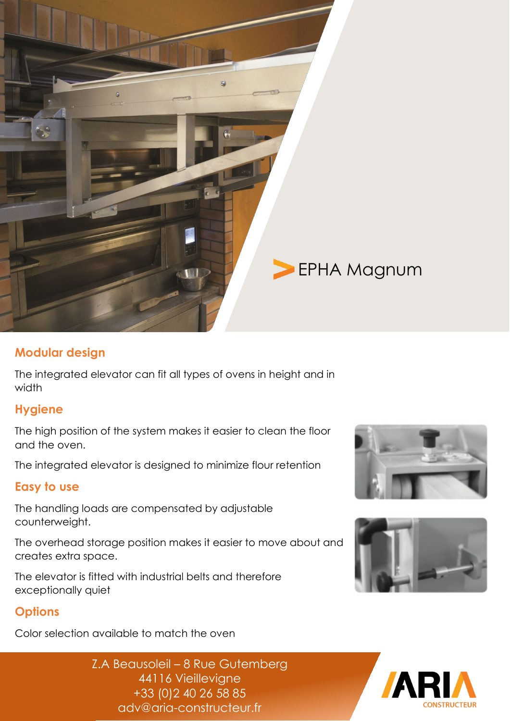

### **Modular design**

The integrated elevator can fit all types of ovens in height and in width

### **Hygiene**

The high position of the system makes it easier to clean the floor and the oven.

The integrated elevator is designed to minimize flour retention

#### **Easy to use**

The handling loads are compensated by adjustable counterweight.

The overhead storage position makes it easier to move about and creates extra space.

The elevator is fitted with industrial belts and therefore exceptionally quiet

## **Options**

Color selection available to match the oven





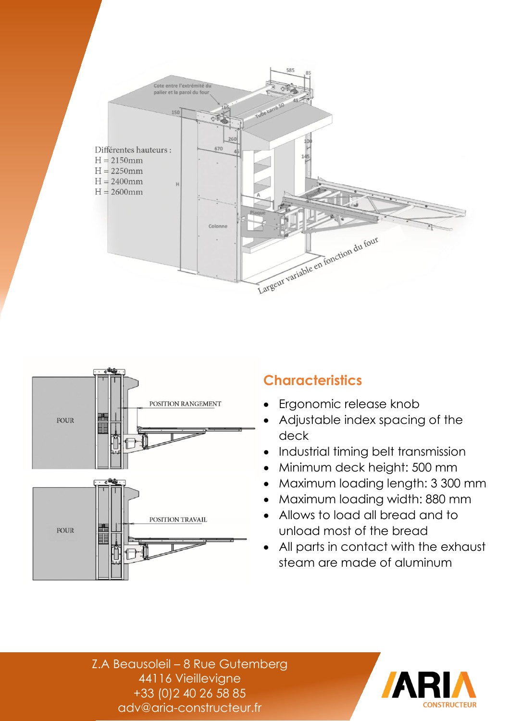



# **Characteristics**

- Ergonomic release knob
- Adjustable index spacing of the deck
- Industrial timing belt transmission
- Minimum deck height: 500 mm
- Maximum loading length: 3 300 mm
- Maximum loading width: 880 mm
- Allows to load all bread and to unload most of the bread
- All parts in contact with the exhaust steam are made of aluminum

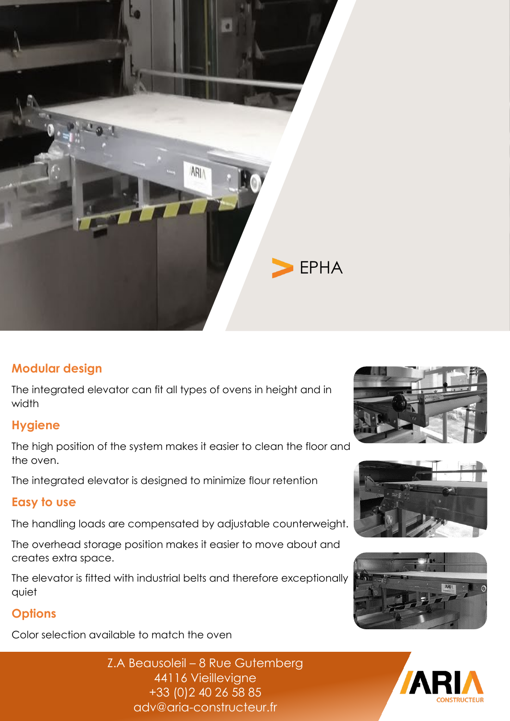

### **Modular design**

The integrated elevator can fit all types of ovens in height and in width

### **Hygiene**

The high position of the system makes it easier to clean the floor and the oven.

The integrated elevator is designed to minimize flour retention

#### **Easy to use**

The handling loads are compensated by adjustable counterweight.

The overhead storage position makes it easier to move about and creates extra space.

The elevator is fitted with industrial belts and therefore exceptionally quiet

## **Options**

Color selection available to match the oven